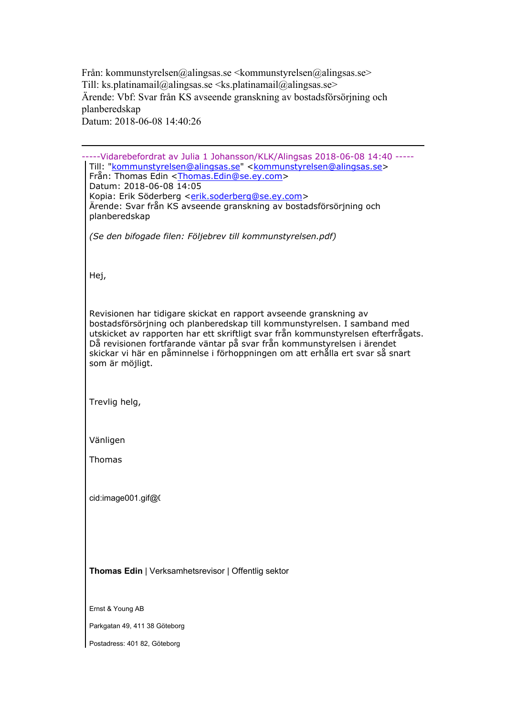Från: kommunstyrelsen@alingsas.se <kommunstyrelsen@alingsas.se> Till: ks.platinamail@alingsas.se <ks.platinamail@alingsas.se> Ärende: Vbf: Svar från KS avseende granskning av bostadsförsörjning och planberedskap Datum: 2018-06-08 14:40:26

-----Vidarebefordrat av Julia 1 Johansson/KLK/Alingsas 2018-06-08 14:40 ----- Till: "<u>kommunstyrelsen@alingsas.se</u>" < kommunstyrelsen@alingsas.se > Från: Thomas Edin <<u>Thomas.Edin@se.ey.com</u>> Datum: 2018-06-08 14:05 Kopia: Erik Söderberg [<erik.soderberg@se.ey.com](mailto:erik.soderberg@se.ey.com)> Ärende: Svar från KS avseende granskning av bostadsförsörjning och planberedskap *(Se den bifogade filen: Följebrev till kommunstyrelsen.pdf)* Hej, Revisionen har tidigare skickat en rapport avseende granskning av bostadsförsörjning och planberedskap till kommunstyrelsen. I samband med utskicket av rapporten har ett skriftligt svar från kommunstyrelsen efterfrågats. Då revisionen fortfarande väntar på svar från kommunstyrelsen i ärendet skickar vi här en påminnelse i förhoppningen om att erhålla ert svar så snart som är möjligt. Trevlig helg, Vänligen Thomas cid:image001.gif@0 **Thomas Edin** | Verksamhetsrevisor | Offentlig sektor Ernst & Young AB Parkgatan 49, 411 38 Göteborg Postadress: 401 82, Göteborg